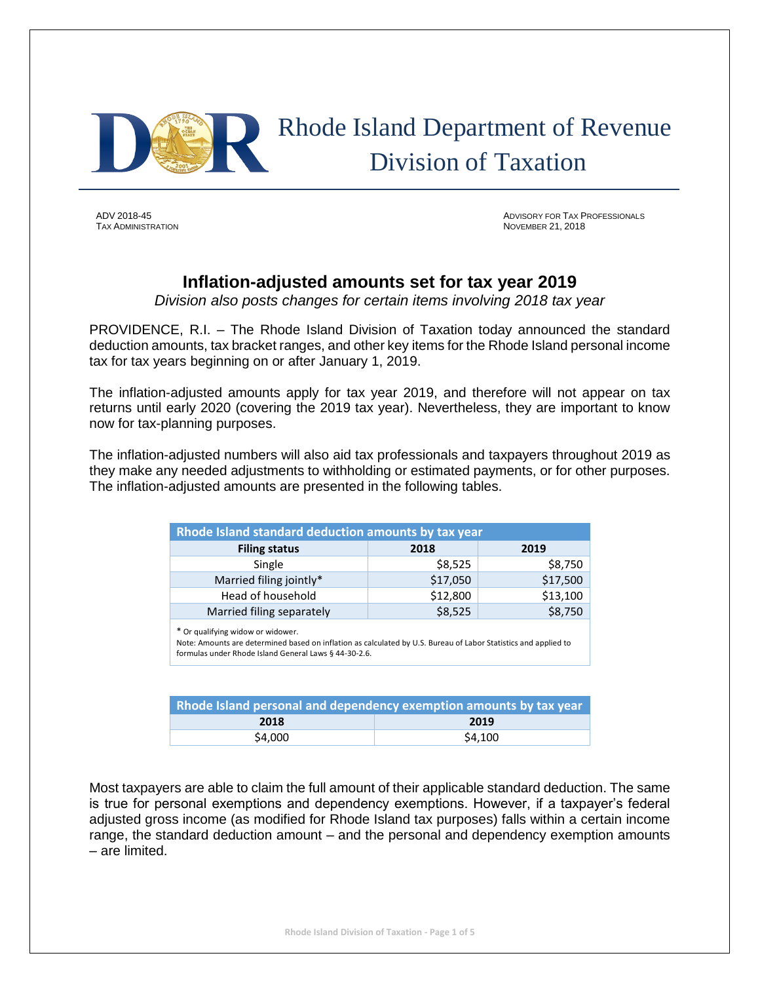

 Rhode Island Department of Revenue Division of Taxation

ADV 2018-45 ADVISORY FOR TAX PROFESSIONALS **NOVEMBER 21, 2018** 

# **Inflation-adjusted amounts set for tax year 2019**

*Division also posts changes for certain items involving 2018 tax year*

PROVIDENCE, R.I. – The Rhode Island Division of Taxation today announced the standard deduction amounts, tax bracket ranges, and other key items for the Rhode Island personal income tax for tax years beginning on or after January 1, 2019.

The inflation-adjusted amounts apply for tax year 2019, and therefore will not appear on tax returns until early 2020 (covering the 2019 tax year). Nevertheless, they are important to know now for tax-planning purposes.

The inflation-adjusted numbers will also aid tax professionals and taxpayers throughout 2019 as they make any needed adjustments to withholding or estimated payments, or for other purposes. The inflation-adjusted amounts are presented in the following tables.

| Rhode Island standard deduction amounts by tax year |          |          |  |  |  |  |
|-----------------------------------------------------|----------|----------|--|--|--|--|
| <b>Filing status</b>                                | 2018     | 2019     |  |  |  |  |
| Single                                              | \$8,525  | \$8,750  |  |  |  |  |
| Married filing jointly*                             | \$17,050 | \$17,500 |  |  |  |  |
| Head of household                                   | \$12,800 | \$13,100 |  |  |  |  |
| Married filing separately                           | \$8,525  | \$8,750  |  |  |  |  |

\* Or qualifying widow or widower.

Note: Amounts are determined based on inflation as calculated by U.S. Bureau of Labor Statistics and applied to formulas under Rhode Island General Laws § 44-30-2.6.

| Rhode Island personal and dependency exemption amounts by tax year |         |  |  |  |  |
|--------------------------------------------------------------------|---------|--|--|--|--|
| 2018                                                               | 2019    |  |  |  |  |
| \$4,000                                                            | \$4.100 |  |  |  |  |

Most taxpayers are able to claim the full amount of their applicable standard deduction. The same is true for personal exemptions and dependency exemptions. However, if a taxpayer's federal adjusted gross income (as modified for Rhode Island tax purposes) falls within a certain income range, the standard deduction amount – and the personal and dependency exemption amounts – are limited.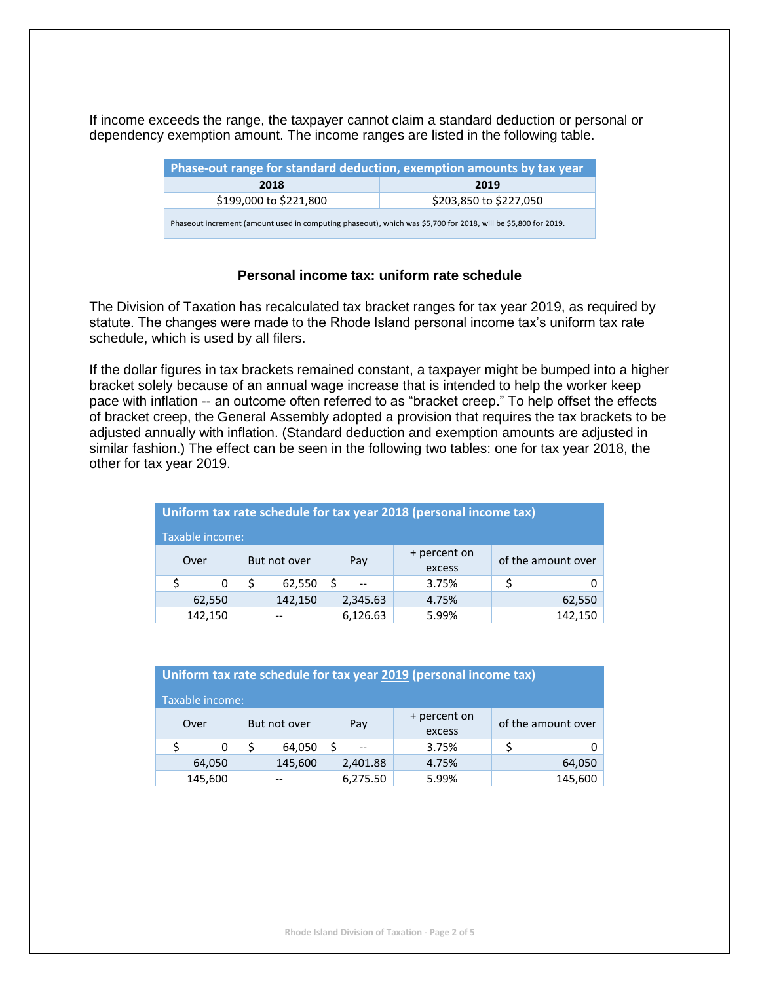If income exceeds the range, the taxpayer cannot claim a standard deduction or personal or dependency exemption amount. The income ranges are listed in the following table.

| Phase-out range for standard deduction, exemption amounts by tax year                                         |                        |  |  |  |  |  |
|---------------------------------------------------------------------------------------------------------------|------------------------|--|--|--|--|--|
| 2018                                                                                                          | 2019                   |  |  |  |  |  |
| \$199,000 to \$221,800                                                                                        | \$203,850 to \$227,050 |  |  |  |  |  |
| Phaseout increment (amount used in computing phaseout), which was \$5,700 for 2018, will be \$5,800 for 2019. |                        |  |  |  |  |  |

# **Personal income tax: uniform rate schedule**

The Division of Taxation has recalculated tax bracket ranges for tax year 2019, as required by statute. The changes were made to the Rhode Island personal income tax's uniform tax rate schedule, which is used by all filers.

If the dollar figures in tax brackets remained constant, a taxpayer might be bumped into a higher bracket solely because of an annual wage increase that is intended to help the worker keep pace with inflation -- an outcome often referred to as "bracket creep." To help offset the effects of bracket creep, the General Assembly adopted a provision that requires the tax brackets to be adjusted annually with inflation. (Standard deduction and exemption amounts are adjusted in similar fashion.) The effect can be seen in the following two tables: one for tax year 2018, the other for tax year 2019.

| Uniform tax rate schedule for tax year 2018 (personal income tax) |         |  |              |          |                        |  |                    |  |
|-------------------------------------------------------------------|---------|--|--------------|----------|------------------------|--|--------------------|--|
| Taxable income:                                                   |         |  |              |          |                        |  |                    |  |
| Over                                                              |         |  | But not over | Pay      | + percent on<br>excess |  | of the amount over |  |
|                                                                   | 0       |  | 62,550       |          | 3.75%                  |  |                    |  |
|                                                                   | 62,550  |  | 142,150      | 2,345.63 | 4.75%                  |  | 62,550             |  |
|                                                                   | 142,150 |  |              | 6,126.63 | 5.99%                  |  | 142,150            |  |

| Uniform tax rate schedule for tax year 2019 (personal income tax) |         |  |              |          |                        |  |                    |  |
|-------------------------------------------------------------------|---------|--|--------------|----------|------------------------|--|--------------------|--|
| Taxable income:                                                   |         |  |              |          |                        |  |                    |  |
| Over                                                              |         |  | But not over | Pay      | + percent on<br>excess |  | of the amount over |  |
|                                                                   | 0       |  | 64,050       |          | 3.75%                  |  | 0                  |  |
|                                                                   | 64,050  |  | 145,600      | 2,401.88 | 4.75%                  |  | 64,050             |  |
|                                                                   | 145,600 |  |              | 6,275.50 | 5.99%                  |  | 145,600            |  |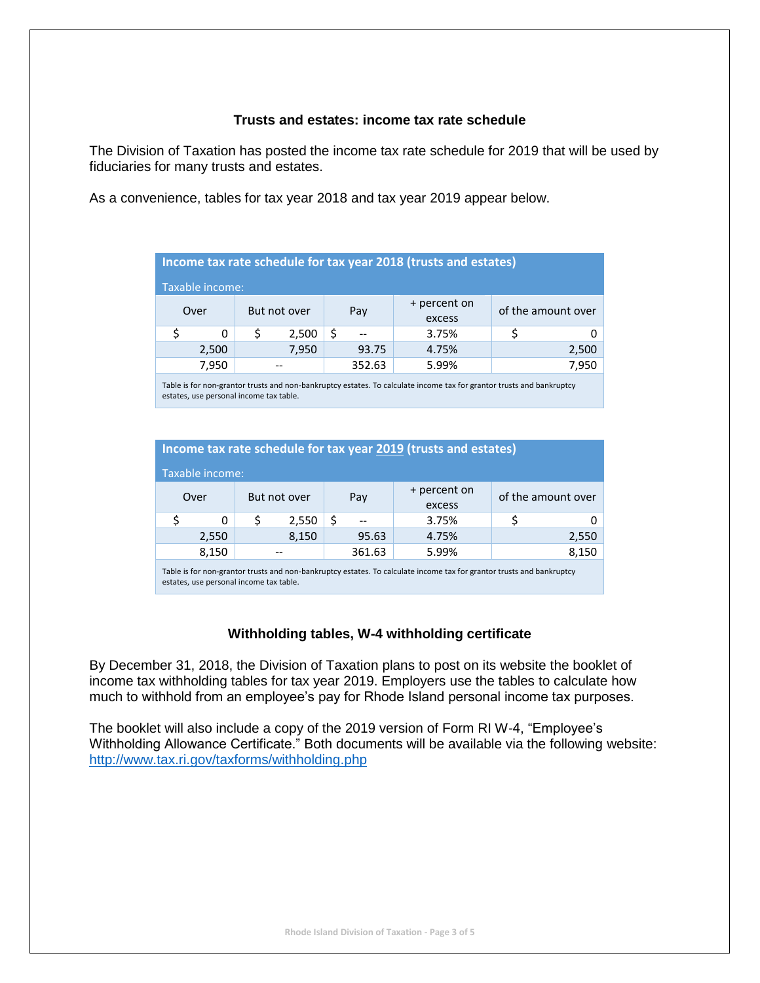### **Trusts and estates: income tax rate schedule**

The Division of Taxation has posted the income tax rate schedule for 2019 that will be used by fiduciaries for many trusts and estates.

As a convenience, tables for tax year 2018 and tax year 2019 appear below.

| Income tax rate schedule for tax year 2018 (trusts and estates) |       |  |              |    |        |                        |  |                    |
|-----------------------------------------------------------------|-------|--|--------------|----|--------|------------------------|--|--------------------|
| Taxable income:                                                 |       |  |              |    |        |                        |  |                    |
|                                                                 | Over  |  | But not over |    | Pay    | + percent on<br>excess |  | of the amount over |
|                                                                 | 0     |  | 2,500        | \$ |        | 3.75%                  |  |                    |
|                                                                 | 2,500 |  | 7,950        |    | 93.75  | 4.75%                  |  | 2,500              |
|                                                                 | 7,950 |  |              |    | 352.63 | 5.99%                  |  | 7,950              |

Table is for non-grantor trusts and non-bankruptcy estates. To calculate income tax for grantor trusts and bankruptcy estates, use personal income tax table.

| Income tax rate schedule for tax year 2019 (trusts and estates)                                                       |                                                                             |    |       |    |       |       |  |       |
|-----------------------------------------------------------------------------------------------------------------------|-----------------------------------------------------------------------------|----|-------|----|-------|-------|--|-------|
| Taxable income:                                                                                                       |                                                                             |    |       |    |       |       |  |       |
|                                                                                                                       | + percent on<br>of the amount over<br>Over<br>But not over<br>Pay<br>excess |    |       |    |       |       |  |       |
|                                                                                                                       | 0                                                                           | \$ | 2,550 | \$ |       | 3.75% |  |       |
|                                                                                                                       | 2,550                                                                       |    | 8,150 |    | 95.63 | 4.75% |  | 2,550 |
| 8,150<br>361.63<br>5.99%<br>8,150                                                                                     |                                                                             |    |       |    |       |       |  |       |
| Table is for non-grantor trusts and non-bankruptcy estates. To calculate income tax for grantor trusts and bankruptcy |                                                                             |    |       |    |       |       |  |       |

estates, use personal income tax table.

#### **Withholding tables, W-4 withholding certificate**

By December 31, 2018, the Division of Taxation plans to post on its website the booklet of income tax withholding tables for tax year 2019. Employers use the tables to calculate how much to withhold from an employee's pay for Rhode Island personal income tax purposes.

The booklet will also include a copy of the 2019 version of Form RI W-4, "Employee's Withholding Allowance Certificate." Both documents will be available via the following website: <http://www.tax.ri.gov/taxforms/withholding.php>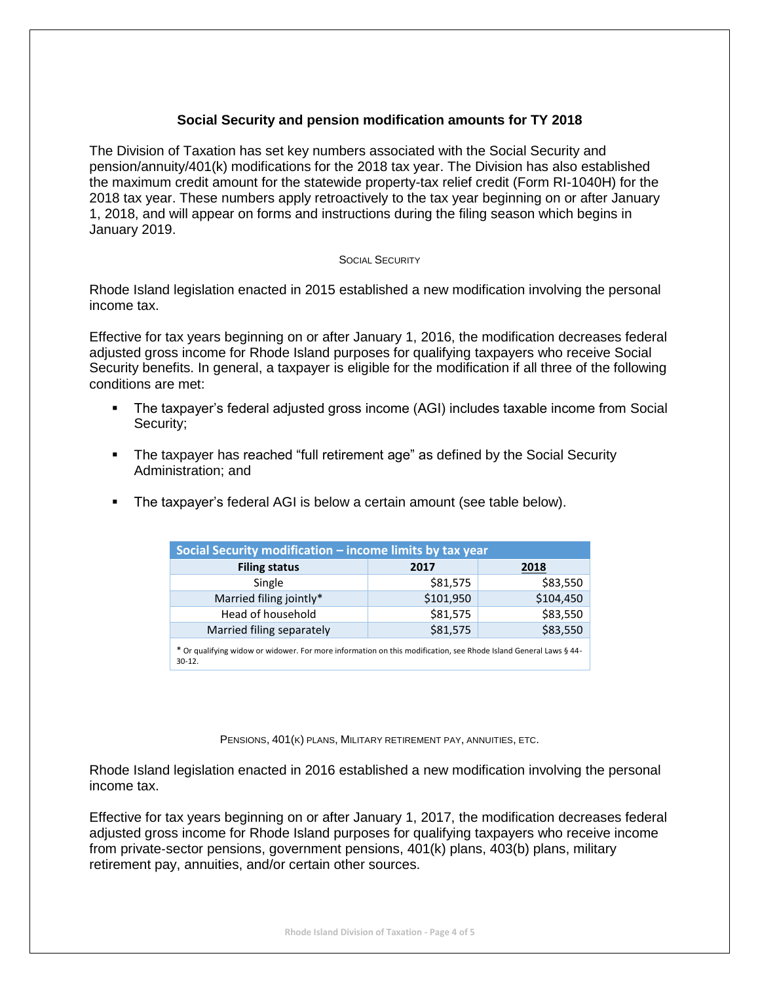## **Social Security and pension modification amounts for TY 2018**

The Division of Taxation has set key numbers associated with the Social Security and pension/annuity/401(k) modifications for the 2018 tax year. The Division has also established the maximum credit amount for the statewide property-tax relief credit (Form RI-1040H) for the 2018 tax year. These numbers apply retroactively to the tax year beginning on or after January 1, 2018, and will appear on forms and instructions during the filing season which begins in January 2019.

#### SOCIAL SECURITY

Rhode Island legislation enacted in 2015 established a new modification involving the personal income tax.

Effective for tax years beginning on or after January 1, 2016, the modification decreases federal adjusted gross income for Rhode Island purposes for qualifying taxpayers who receive Social Security benefits. In general, a taxpayer is eligible for the modification if all three of the following conditions are met:

- The taxpayer's federal adjusted gross income (AGI) includes taxable income from Social Security;
- The taxpayer has reached "full retirement age" as defined by the Social Security Administration; and
- The taxpayer's federal AGI is below a certain amount (see table below).

| Social Security modification - income limits by tax year                                                                     |           |           |  |  |  |  |
|------------------------------------------------------------------------------------------------------------------------------|-----------|-----------|--|--|--|--|
| <b>Filing status</b>                                                                                                         | 2017      | 2018      |  |  |  |  |
| Single                                                                                                                       | \$81,575  | \$83,550  |  |  |  |  |
| Married filing jointly*                                                                                                      | \$101,950 | \$104,450 |  |  |  |  |
| Head of household                                                                                                            | \$81,575  | \$83,550  |  |  |  |  |
| Married filing separately                                                                                                    | \$81,575  | \$83,550  |  |  |  |  |
| * Or qualifying widow or widower. For more information on this modification, see Rhode Island General Laws § 44-<br>$30-12.$ |           |           |  |  |  |  |

PENSIONS, 401(K) PLANS, MILITARY RETIREMENT PAY, ANNUITIES, ETC.

Rhode Island legislation enacted in 2016 established a new modification involving the personal income tax.

Effective for tax years beginning on or after January 1, 2017, the modification decreases federal adjusted gross income for Rhode Island purposes for qualifying taxpayers who receive income from private‐sector pensions, government pensions, 401(k) plans, 403(b) plans, military retirement pay, annuities, and/or certain other sources.